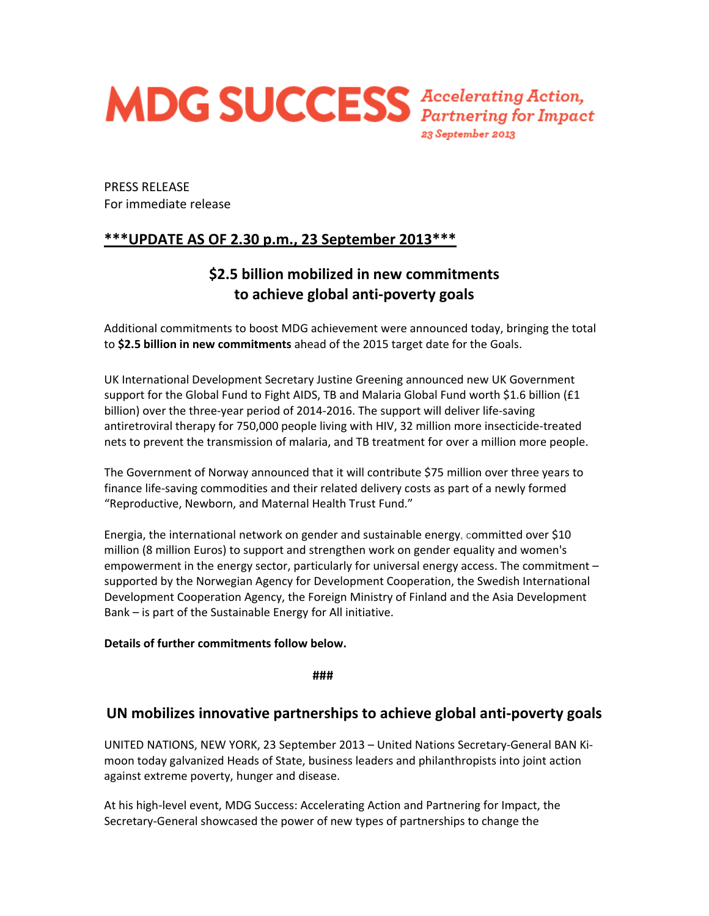

PRESS RELEASE For immediate release

## **\*\*\*UPDATE AS OF 2.30 p.m., 23 September 2013\*\*\***

# **\$2.5 billion mobilized in new commitments to achieve global anti‐poverty goals**

Additional commitments to boost MDG achievement were announced today, bringing the total to **\$2.5 billion in new commitments** ahead of the 2015 target date for the Goals.

UK International Development Secretary Justine Greening announced new UK Government support for the Global Fund to Fight AIDS, TB and Malaria Global Fund worth \$1.6 billion (£1 billion) over the three‐year period of 2014‐2016. The support will deliver life‐saving antiretroviral therapy for 750,000 people living with HIV, 32 million more insecticide‐treated nets to prevent the transmission of malaria, and TB treatment for over a million more people.

The Government of Norway announced that it will contribute \$75 million over three years to finance life‐saving commodities and their related delivery costs as part of a newly formed "Reproductive, Newborn, and Maternal Health Trust Fund."

Energia, the international network on gender and sustainable energy, committed over \$10 million (8 million Euros) to support and strengthen work on gender equality and women's empowerment in the energy sector, particularly for universal energy access. The commitment – supported by the Norwegian Agency for Development Cooperation, the Swedish International Development Cooperation Agency, the Foreign Ministry of Finland and the Asia Development Bank – is part of the Sustainable Energy for All initiative.

### **Details of further commitments follow below.**

**###**

## **UN mobilizes innovative partnerships to achieve global anti‐poverty goals**

UNITED NATIONS, NEW YORK, 23 September 2013 – United Nations Secretary‐General BAN Ki‐ moon today galvanized Heads of State, business leaders and philanthropists into joint action against extreme poverty, hunger and disease.

At his high‐level event, MDG Success: Accelerating Action and Partnering for Impact, the Secretary‐General showcased the power of new types of partnerships to change the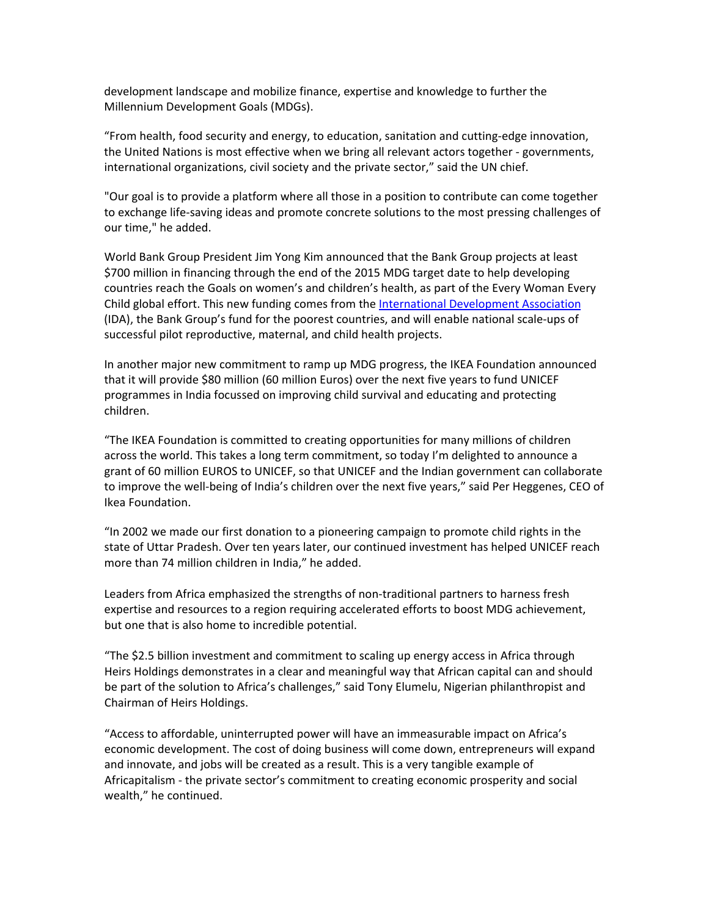development landscape and mobilize finance, expertise and knowledge to further the Millennium Development Goals (MDGs).

"From health, food security and energy, to education, sanitation and cutting‐edge innovation, the United Nations is most effective when we bring all relevant actors together ‐ governments, international organizations, civil society and the private sector," said the UN chief.

"Our goal is to provide a platform where all those in a position to contribute can come together to exchange life‐saving ideas and promote concrete solutions to the most pressing challenges of our time," he added.

World Bank Group President Jim Yong Kim announced that the Bank Group projects at least \$700 million in financing through the end of the 2015 MDG target date to help developing countries reach the Goals on women's and children's health, as part of the Every Woman Every Child global effort. This new funding comes from the International [Development](http://www.worldbank.org/ida) Association (IDA), the Bank Group's fund for the poorest countries, and will enable national scale‐ups of successful pilot reproductive, maternal, and child health projects.

In another major new commitment to ramp up MDG progress, the IKEA Foundation announced that it will provide \$80 million (60 million Euros) over the next five years to fund UNICEF programmes in India focussed on improving child survival and educating and protecting children.

"The IKEA Foundation is committed to creating opportunities for many millions of children across the world. This takes a long term commitment, so today I'm delighted to announce a grant of 60 million EUROS to UNICEF, so that UNICEF and the Indian government can collaborate to improve the well‐being of India's children over the next five years," said Per Heggenes, CEO of Ikea Foundation.

"In 2002 we made our first donation to a pioneering campaign to promote child rights in the state of Uttar Pradesh. Over ten years later, our continued investment has helped UNICEF reach more than 74 million children in India," he added.

Leaders from Africa emphasized the strengths of non-traditional partners to harness fresh expertise and resources to a region requiring accelerated efforts to boost MDG achievement, but one that is also home to incredible potential.

"The \$2.5 billion investment and commitment to scaling up energy access in Africa through Heirs Holdings demonstrates in a clear and meaningful way that African capital can and should be part of the solution to Africa's challenges," said Tony Elumelu, Nigerian philanthropist and Chairman of Heirs Holdings.

"Access to affordable, uninterrupted power will have an immeasurable impact on Africa's economic development. The cost of doing business will come down, entrepreneurs will expand and innovate, and jobs will be created as a result. This is a very tangible example of Africapitalism ‐ the private sector's commitment to creating economic prosperity and social wealth," he continued.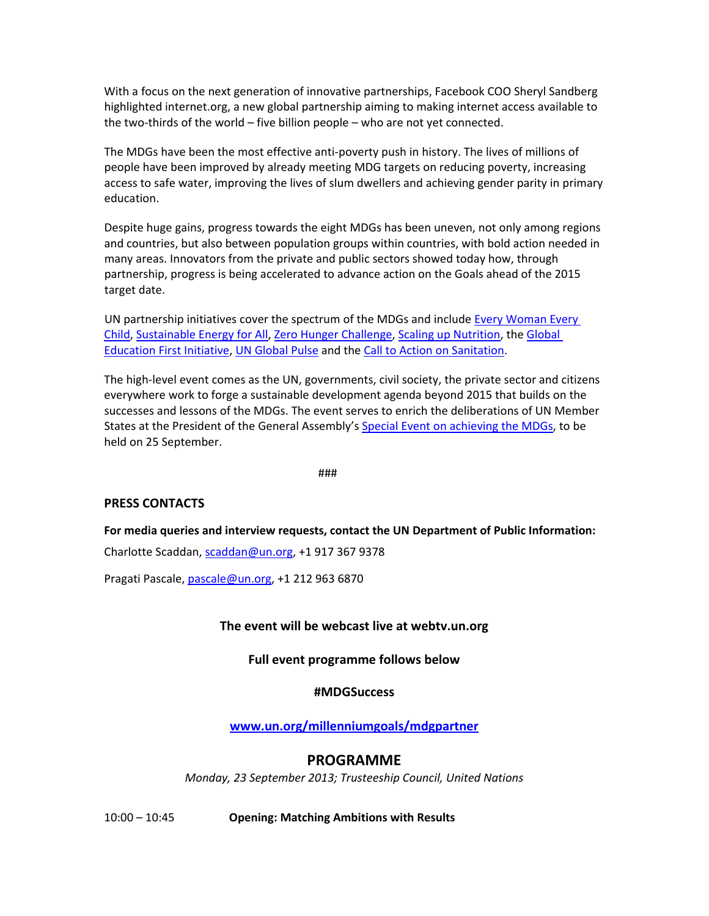With a focus on the next generation of innovative partnerships, Facebook COO Sheryl Sandberg highlighted internet.org, a new global partnership aiming to making internet access available to the two-thirds of the world – five billion people – who are not yet connected.

The MDGs have been the most effective anti‐poverty push in history. The lives of millions of people have been improved by already meeting MDG targets on reducing poverty, increasing access to safe water, improving the lives of slum dwellers and achieving gender parity in primary education.

Despite huge gains, progress towards the eight MDGs has been uneven, not only among regions and countries, but also between population groups within countries, with bold action needed in many areas. Innovators from the private and public sectors showed today how, through partnership, progress is being accelerated to advance action on the Goals ahead of the 2015 target date.

UN partnership initiatives cover the spectrum of the MDGs and include Every [Woman](http://www.everywomaneverychild.org/) Every [Child](http://www.everywomaneverychild.org/), [Sustainable](http://www.sustainableenergyforall.org/) Energy for All, Zero Hunger [Challenge,](http://www.un.org/en/zerohunger/%23&panel1-1) Scaling up [Nutrition](http://scalingupnutrition.org/), the [Global](http://www.globaleducationfirst.org/) [Education](http://www.globaleducationfirst.org/) First Initiative, UN [Global](http://www.unglobalpulse.org/) Pulse and the Call to Action on [Sanitation.](http://sanitationdrive2015.org/call-to-action/)

The high-level event comes as the UN, governments, civil society, the private sector and citizens everywhere work to forge a sustainable development agenda beyond 2015 that builds on the successes and lessons of the MDGs. The event serves to enrich the deliberations of UN Member States at the President of the General Assembly's Special Event on [achieving](http://www.un.org/millenniumgoals/specialevent.shtml) the MDGs, to be held on 25 September.

###

#### **PRESS CONTACTS**

**For media queries and interview requests, contact the UN Department of Public Information:** 

Charlotte Scaddan, [scaddan@un.org,](mailto:scaddan@un.org) +1 917 367 9378

Pragati Pascale, pascale@un.org, +1 212 963 6870

#### **The event will be webcast live at webtv.un.org**

**Full event programme follows below**

#### **#MDGSuccess**

**[www.un.org/millenniumgoals/mdgpartner](http://www.un.org/millenniumgoals/mdgpartner)**

#### **PROGRAMME**

*Monday, 23 September 2013; Trusteeship Council, United Nations*

10:00 – 10:45 **Opening: Matching Ambitions with Results**